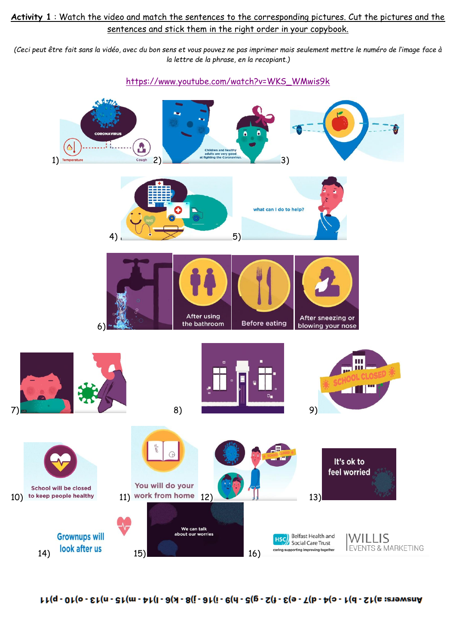## **Activity 1** : Watch the video and match the sentences to the corresponding pictures. Cut the pictures and the sentences and stick them in the right order in your copybook.

*(Ceci peut être fait sans la vidéo, avec du bon sens et vous pouvez ne pas imprimer mais seulement mettre le numéro de l'image face à la lettre de la phrase, en la recopiant.)*

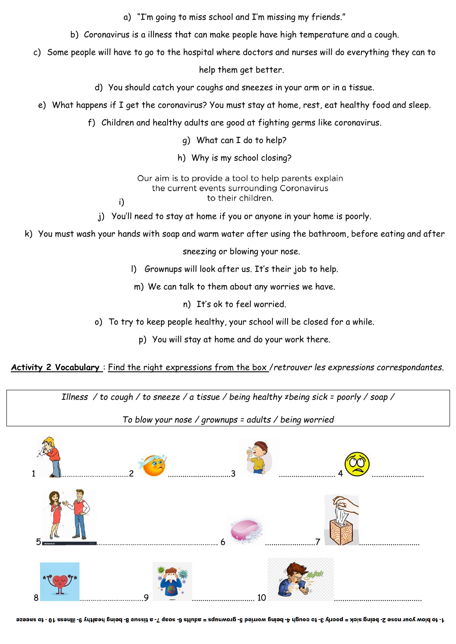a) "I'm going to miss school and I'm missing my friends."

- b) Coronavirus is a illness that can make people have high temperature and a cough.
- c) Some people will have to go to the hospital where doctors and nurses will do everything they can to

help them get better.

- d) You should catch your coughs and sneezes in your arm or in a tissue.
- e) What happens if I get the coronavirus? You must stay at home, rest, eat healthy food and sleep.
	- f) Children and healthy adults are good at fighting germs like coronavirus.

g) What can I do to help?

h) Why is my school closing?

Our aim is to provide a tool to help parents explain the current events surrounding Coronavirus to their children.

j) You'll need to stay at home if you or anyone in your home is poorly.

i)

k) You must wash your hands with soap and warm water after using the bathroom, before eating and after

sneezing or blowing your nose.

l) Grownups will look after us. It's their job to help.

m) We can talk to them about any worries we have.

n) It's ok to feel worried.

o) To try to keep people healthy, your school will be closed for a while.

p) You will stay at home and do your work there.

**Activity 2 Vocabulary** : Find the right expressions from the box /*retrouver les expressions correspondantes.*

*Illness / to cough / to sneeze / a tissue / being healthy ≠being sick = poorly / soap /*

*To blow your nose / grownups = adults / being worried*



1- to blow your nose 2- being sick = poorly 3- to cough 4- being worried 5- spurries = adults 6- soap 7- to blom be illues 10- to sneeze